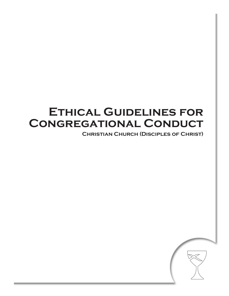# **Ethical Guidelines for Congregational Conduct**

**Christian Church (Disciples of Christ)**

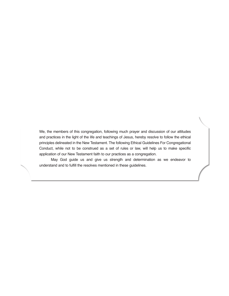We, the members of this congregation, following much prayer and discussion of our attitudes and practices in the light of the life and teachings of Jesus, hereby resolve to follow the ethical principles delineated in the New Testament. The following Ethical Guidelines For Congregational Conduct, while not to be construed as a set of rules or law, will help us to make specific application of our New Testament faith to our practices as a congregation.

 May God guide us and give us strength and determination as we endeavor to understand and to fulfill the resolves mentioned in these guidelines.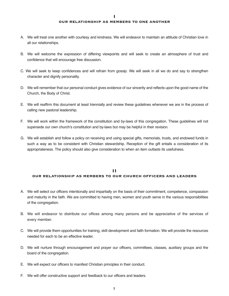#### **OUR RELATIONSHIP AS MEMBERS TO ONE ANOTHER**

- A. We will treat one another with courtesy and kindness. We will endeavor to maintain an attitude of Christian love in all our relationships.
- B. We will welcome the expression of differing viewpoints and will seek to create an atmosphere of trust and confidence that will encourage free discussion.
- C. We will seek to keep confidences and will refrain from gossip. We will seek in all we do and say to strengthen character and dignify personality.
- D. We will remember that our personal conduct gives evidence of our sincerity and reflects upon the good name of the Church, the Body of Christ.
- E. We will reaffirm this document at least triennially and review these guidelines whenever we are in the process of calling new pastoral leadership.
- F. We will work within the framework of the constitution and by-laws of this congregation. These guidelines will not supersede our own church's constitution and by-laws but may be helpful in their revision.
- G. We will establish and follow a policy on receiving and using special gifts, memorials, trusts, and endowed funds in such a way as to be consistent with Christian stewardship. Reception of the gift entails a consideration of its appropriateness. The policy should also give consideration to when an item outlasts its usefulness.

## **II OUR RELATIONSHIP AS MEMBERS TO OUR CHURCH OFFICERS AND LEADERS**

- A. We will select our officers intentionally and impartially on the basis of their commitment, competence, compassion and maturity in the faith. We are committed to having men, women and youth serve in the various responsibilities of the congregation.
- B. We will endeavor to distribute our offices among many persons and be appreciative of the services of every member.
- C. We will provide them opportunities for training, skill development and faith formation. We will provide the resources needed for each to be an effective leader.
- D. We will nurture through encouragement and prayer our officers, committees, classes, auxiliary groups and the board of the congregation.
- E. We will expect our officers to manifest Christian principles in their conduct.
- F. We will offer constructive support and feedback to our officers and leaders.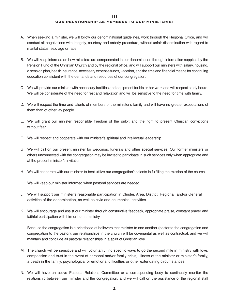## **III OUR RELATIONSHIP AS MEMBERS TO OUR MINISTER(S)**

- A. When seeking a minister, we will follow our denominational guidelines, work through the Regional Office, and will conduct all negotiations with integrity, courtesy and orderly procedure, without unfair discrimination with regard to marital status, sex, age or race.
- B. We will keep informed on how ministers are compensated in our denomination through information supplied by the Pension Fund of the Christian Church and by the regional office, and will support our ministers with salary, housing, a pension plan, health insurance, necessary expense funds, vacation, and the time and financial means for continuing education consistent with the demands and resources of our congregation.
- C. We will provide our minister with necessary facilities and equipment for his or her work and will respect study hours. We will be considerate of the need for rest and relaxation and will be sensitive to the need for time with family.
- D. We will respect the time and talents of members of the minister's family and will have no greater expectations of them than of other lay people.
- E. We will grant our minister responsible freedom of the pulpit and the right to present Christian convictions without fear.
- F. We will respect and cooperate with our minister's spiritual and intellectual leadership.
- G. We will call on our present minister for weddings, funerals and other special services. Our former ministers or others unconnected with the congregation may be invited to participate in such services only when appropriate and at the present minister's invitation.
- H. We will cooperate with our minister to best utilize our congregation's talents in fulfilling the mission of the church.
- I. We will keep our minister informed when pastoral services are needed.
- J. We will support our minister's reasonable participation in Cluster, Area, District, Regional, and/or General activities of the denomination, as well as civic and ecumenical activities.
- K. We will encourage and assist our minister through constructive feedback, appropriate praise, constant prayer and faithful participation with him or her in ministry.
- L. Because the congregation is a priesthood of believers that minister to one another (pastor to the congregation and congregation to the pastor), our relationships in the church will be covenantal as well as contractual, and we will maintain and conclude all pastoral relationships in a spirit of Christian love.
- M. The church will be sensitive and will voluntarily find specific ways to go the second mile in ministry with love, compassion and trust in the event of personal and/or family crisis, illness of the minister or minister's family, a death in the family, psychological or emotional difficulties or other extenuating circumstances.
- N. We will have an active Pastoral Relations Committee or a corresponding body to continually monitor the relationship between our minister and the congregation, and we will call on the assistance of the regional staff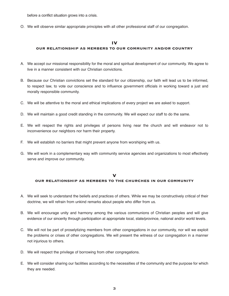before a conflict situation grows into a crisis.

O. We will observe similar appropriate principles with all other professional staff of our congregation.

# **IV OUR RELATIONSHIP AS MEMBERS TO OUR COMMUNITY AND/OR COUNTRY**

- A. We accept our missional responsibility for the moral and spiritual development of our community. We agree to live in a manner consistent with our Christian convictions.
- B. Because our Christian convictions set the standard for our citizenship, our faith will lead us to be informed, to respect law, to vote our conscience and to influence government officials in working toward a just and morally responsible community.
- C. We will be attentive to the moral and ethical implications of every project we are asked to support.
- D. We will maintain a good credit standing in the community. We will expect our staff to do the same.
- E. We will respect the rights and privileges of persons living near the church and will endeavor not to inconvenience our neighbors nor harm their property.
- F. We will establish no barriers that might prevent anyone from worshiping with us.
- G. We will work in a complementary way with community service agencies and organizations to most effectively serve and improve our community.

# **V OUR RELATIONSHIP AS MEMBERS TO THE CHURCHES IN OUR COMMUNITY**

- A. We will seek to understand the beliefs and practices of others. While we may be constructively critical of their doctrine, we will refrain from unkind remarks about people who differ from us.
- B. We will encourage unity and harmony among the various communions of Christian peoples and will give evidence of our sincerity through participation at appropriate local, state/province, national and/or world levels.
- C. We will not be part of proselytizing members from other congregations in our community, nor will we exploit the problems or crises of other congregations. We will present the witness of our congregation in a manner not injurious to others.
- D. We will respect the privilege of borrowing from other congregations.
- E. We will consider sharing our facilities according to the necessities of the community and the purpose for which they are needed.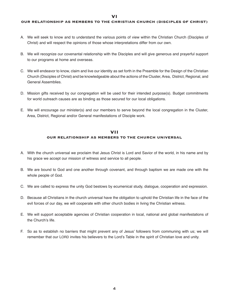**VI**

#### **OUR RELATIONSHIP AS MEMBERS TO THE CHRISTIAN CHURCH (DISCIPLES OF CHRIST)**

- A. We will seek to know and to understand the various points of view within the Christian Church (Disciples of Christ) and will respect the opinions of those whose interpretations differ from our own.
- B. We will recognize our covenantal relationship with the Disciples and will give generous and prayerful support to our programs at home and overseas.
- C. We will endeavor to know, claim and live our identity as set forth in the Preamble for the Design of the Christian Church (Disciples of Christ) and be knowledgeable about the actions of the Cluster, Area, District, Regional, and General Assemblies.
- D. Mission gifts received by our congregation will be used for their intended purpose(s). Budget commitments for world outreach causes are as binding as those secured for our local obligations.
- E. We will encourage our minister(s) and our members to serve beyond the local congregation in the Cluster, Area, District, Regional and/or General manifestations of Disciple work.

## **VII OUR RELATIONSHIP AS MEMBERS TO THE CHURCH UNIVERSAL**

- A. With the church universal we proclaim that Jesus Christ is Lord and Savior of the world, in his name and by his grace we accept our mission of witness and service to all people.
- B. We are bound to God and one another through covenant, and through baptism we are made one with the whole people of God.
- C. We are called to express the unity God bestows by ecumenical study, dialogue, cooperation and expression.
- D. Because all Christians in the church universal have the obligation to uphold the Christian life in the face of the evil forces of our day, we will cooperate with other church bodies in living the Christian witness.
- E. We will support acceptable agencies of Christian cooperation in local, national and global manifestations of the Church's life.
- F. So as to establish no barriers that might prevent any of Jesus' followers from communing with us; we will remember that our LORD invites his believers to the Lord's Table in the spirit of Christian love and unity.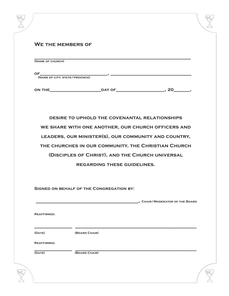| <b>WE THE MEMBERS OF</b> |               |                                                      |                                |
|--------------------------|---------------|------------------------------------------------------|--------------------------------|
| (NAME OF CHURCH)         |               |                                                      |                                |
|                          |               |                                                      |                                |
|                          |               |                                                      |                                |
|                          |               |                                                      |                                |
|                          |               |                                                      |                                |
|                          |               |                                                      |                                |
|                          |               | DESIRE TO UPHOLD THE COVENANTAL RELATIONSHIPS        |                                |
|                          |               | WE SHARE WITH ONE ANOTHER, OUR CHURCH OFFICERS AND   |                                |
|                          |               | LEADERS, OUR MINISTER(S), OUR COMMUNITY AND COUNTRY, |                                |
|                          |               | THE CHURCHES IN OUR COMMUNITY, THE CHRISTIAN CHURCH  |                                |
|                          |               |                                                      |                                |
|                          |               |                                                      |                                |
|                          |               | (DISCIPLES OF CHRIST), AND THE CHURCH UNIVERSAL      |                                |
|                          |               | <b>REGARDING THESE GUIDELINES.</b>                   |                                |
|                          |               |                                                      |                                |
|                          |               | SIGNED ON BEHALF OF THE CONGREGATION BY:             |                                |
|                          |               |                                                      | , CHAIR/MODERATOR OF THE BOARD |
|                          |               |                                                      |                                |
| <b>REAFFIRMED:</b>       |               |                                                      |                                |
|                          |               |                                                      |                                |
| (DATE)                   | (BOARD CHAIR) |                                                      |                                |
| <b>REAFFIRMED:</b>       |               |                                                      |                                |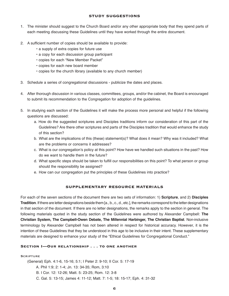## **STUDY SUGGESTIONS**

- 1. The minister should suggest to the Church Board and/or any other appropriate body that they spend parts of each meeting discussing these Guidelines until they have worked through the entire document.
- 2. A sufficient number of copies should be available to provide:
	- a supply of extra copies for future use
	- a copy for each discussion group participant
	- copies for each "New Member Packet"
	- copies for each new board member
	- copies for the church library (available to any church member)
- 3. Schedule a series of congregational discussions publicize the dates and places.
- 4. After thorough discussion in various classes, committees, groups, and/or the cabinet, the Board is encouraged to submit its recommendation to the Congregation for adoption of the guidelines.
- 5. In studying each section of the Guidelines it will make the process more personal and helpful if the following questions are discussed:
	- a. How do the suggested scriptures and Disciples traditions inform our consideration of this part of the Guidelines? Are there other scriptures and parts of the Disciples tradition that would enhance the study of this section?
	- b. What are the implications of this (these) statement(s)? What does it mean? Why was it included? What are the problems or concerns it addresses?
	- c. What is our congregation's policy at this point? How have we handled such situations in the past? How do we want to handle them in the future?
	- d. What specific steps should be taken to fulfill our responsibilities on this point? To what person or group should the responsibility be assigned?
	- e. How can our congregation put the principles of these Guidelines into practice?

## **SUPPLEMENTARY RESOURCE MATERIALS**

For each of the seven sections of the document there are two sets of information: 1) **Scripture**, and 2) **Disciples Tradition**. If there are letter designations beside them [a., b., c., d., etc.], the remarks correspond to the letter designations in that section of the document. If there are no letter designations, the remarks apply to the section in general. The following materials quoted in the study section of the Guidelines were authored by Alexander Campbell: **The Christian System, The Campbell-Owen Debate, The Millennial Harbinger, The Christian Baptist**. Non-inclusive terminology by Alexander Campbell has not been altered in respect for historical accuracy. However, it is the intention of these Guidelines that they be understood in this age to be inclusive in their intent. These supplementary materials are designed to enhance your study of the "Ethical Guidelines for Congregational Conduct."

## **SECTION I-OUR RELATIONSHIP . . . TO ONE ANOTHER**

**SCRIPTURE** 

(General) Eph. 4:1-6, 15-16; 5:1; I Peter 2: 9-10; II Cor. 5: 17-19

A. Phil 1:9; 2: 1-4; Jn. 13: 34-35; Rom, 3:10

B. I Cor. 12: 12-26; Matt. 5: 23-25; Rom. 12: 3-8

C. Gal. 5: 13-15; James 4: 11-12; Matt. 7: 1-5; 18: 15-17; Eph. 4: 31-32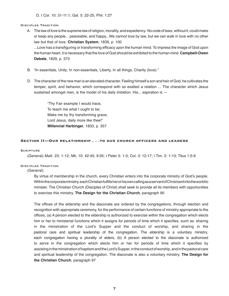## Disciples Tradition

- A. The law of love is the supreme law of religion, morality, and expediency. No code of laws, without it, could make or keep any people... peaceable, and happy...We cannot love by law, but we can walk in love with no other law but that of love. **Christian System**, 1839, p. 100 ...Love has a transfiguring or transforming efficacy upon the human mind. To impress the image of God upon the human heart, it is necessary that the love of God should be exhibited to the human mind. **Campbell-Owen Debate**, 1829, p. 373
- B. "In essentials, Unity; In non-essentials, Liberty, In all things, Charity (love)."
- D. The character of the new man is an elevated character. Feeling himself a son and heir of God, he cultivates the temper, spirit, and behavior, which correspond with so exalted a relation ... The character which Jesus sustained amongst men, is the model of his daily imitation. His... aspiration is  $-$

 "Thy Fair example I would trace, To teach me what I ought to be; Make me by thy transforming grace, Lord Jesus, daily more like thee!" **Millennial Harbinger**, 1833, p. 357

## **SECTION II-OUR RELATIONSHIP . . . TO OUR CHURCH OFFICERS AND LEADERS**

## **SCRIPTURE**

(General) Matt. 23: 1-12; Mk. 10: 42-45; 9:35; I Peter 5: 1-3; Col. 3: 12-17; I Tim. 3: 1-13; Titus 1:5-9

## DISCIPLES TRADITION

(General)

 By virtue of membership in the church, every Christian enters into the corporate ministry of God's people. Within the corporate ministry, each Christian fulfills her or his own calling as a servant of Christ sent into the world to minister. The Christian Church (Disciples of Christ) shall seek to provide all its members with opportunities to exercise this ministry. **The Design for the Christian Church**, paragraph 90

 The offices of the eldership and the diaconate are ordered by the congregations, through election and recognition with appropriate ceremony, for the performance of certain functions of ministry appropriate to the offices, (a) A person elected to the eldership is authorized to exercise within the congregation which elects him or her to ministerial functions which it assigns for periods of time which it specifies, such as: sharing in the ministration of the Lord's Supper and the conduct of worship, and sharing in the pastoral care and spiritual leadership of the congregation. The eldership is a voluntary ministry, each congregation having a plurality of elders, (b) A person elected to the diaconate is authorized to serve in the congregation which elects him or her for periods of time which it specifies by assisting in the ministration of baptism and the Lord's Supper, in the conduct of worship, and in the pastoral care and spiritual leadership of the congregation. The diaconate is also a voluntary ministry. **The Design for the Christian Church**, paragraph 97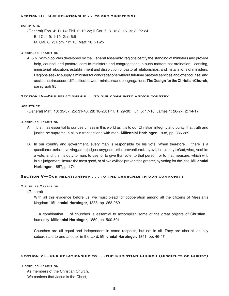#### **SECTION III-OUR RELATIONSHIP . . . TO OUR MINISTER(S)**

#### **SCRIPTURE**

(General) Eph. 4: 11-14; Phil. 2: 19-22; II Cor. 6: 3-10; 8: 16-19; 8: 22-24

- B. I Cor. 9: 1-10; Gal. 6:6
- M. Gal. 6: 2; Rom. 12: 15; Matt. 18: 21-25

#### DISCIPLES TRADITION

A. & N. Within policies developed by the General Assembly, regions certify the standing of ministers and provide help, counsel and pastoral care to ministers and congregations in such matters as: ordination, licensing, ministerial relocation, establishment and dissolution of pastoral relationships, and installations of ministers. Regions seek to supply a minister for congregations without full-time pastoral services and offer counsel and assistance in cases of difficulties between ministers and congregations. **The Design for the Christian Church**, paragraph 95

#### **SECTION IV-OUR RELATIONSHIP . . . TO OUR COMMUNITY AND/OR COUNTRY**

#### **SCRIPTURE**

(General) Matt. 10: 35-37; 25: 31-46; 28: 18-20; Phil. 1: 29-30; I Jn. 5: 17-18; James 1: 26-27; 2: 14-17

## DISCIPLES TRADITION

- A. ...It is ... as essential to our usefulness in this world as it is to our Christian integrity and purity, that truth and justice be supreme in all our transactions with men. **Millennial Harbinger**, 1838, pp. 386-389
- B. In our country and government, every man is responsible for his vote. When therefore ... there is a question or a crisis involving, as he judges, any good, or the prevention of any evil, it is his duty to God, who gives him a vote, and it is his duty to man, to use, or to give that vote, to that person, or to that measure, which will, in his judgement, insure the most good, or of two evils to prevent the greater, by voting for the less. **Millennial Harbinger**, 1857, p. 174

#### SECTION V-OUR RELATIONSHIP . . . TO THE CHURCHES IN OUR COMMUNITY

#### DISCIPLES TRADITION

#### (General)

 With all this evidence before us, we must plead for cooperation among all the citizens of Messiah's kingdom...**Millennial Harbinger**, 1838, pp. 268-269

 ... a combination ... of churches is essential to accomplish some of the great objects of Christian... humanity. **Millennial Harbinger**, 1850, pp. 500-501

 Churches are all equal and independent in some respects, but not in all. They are also all equally subordinate to one another in the Lord. **Millennial Harbinger**, 1841, pp. 46-47

#### **SECTION VI-OUR RELATIONSHIP TO . . . THE CHRISTIAN CHURCH (DISCIPLES OF CHRIST)**

DISCIPLES TRADITION

As members of the Christian Church,

We confess that Jesus is the Christ,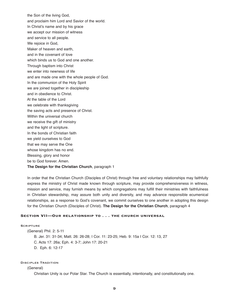the Son of the living God, and proclaim him Lord and Savior of the world. In Christ's name and by his grace we accept our mission of witness and service to all people. We rejoice in God, Maker of heaven and earth, and in the covenant of love which binds us to God and one another. Through baptism into Christ we enter into newness of life and are made one with the whole people of God. In the communion of the Holy Spirit we are joined together in discipleship and in obedience to Christ. At the table of the Lord we celebrate with thanksgiving the saving acts and presence of Christ. Within the universal church we receive the gift of ministry and the light of scripture. In the bonds of Christian faith we yield ourselves to God that we may serve the One whose kingdom has no end. Blessing, glory and honor be to God forever. Amen. **The Design for the Christian Church**, paragraph 1

In order that the Christian Church (Disciples of Christ) through free and voluntary relationships may faithfully express the ministry of Christ made known through scripture, may provide comprehensiveness in witness, mission and service, may furnish means by which congregations may fulfill their ministries with faithfulness in Christian stewardship, may assure both unity and diversity, and may advance responsible ecumenical relationships, as a response to God's covenant, we commit ourselves to one another in adopting this design for the Christian Church (Disciples of Christ). **The Design for the Christian Church**, paragraph 4

## SECTION VII-OUR RELATIONSHIP TO . . . THE CHURCH UNIVERSAL

### **SCRIPTURE**

(General) Phil. 2: 5-11

B. Jer. 31: 31-34; Matt. 26: 26-28; I Cor. 11: 23-25; Heb. 9: 15a I Cor. 12: 13, 27

C. Acts 17: 26a; Eph. 4: 3-7; John 17: 20-21

D. Eph. 6: 12-17

#### Disciples Tradition

#### (General)

Christian Unity is our Polar Star. The Church is essentially, intentionally, and constitutionally one.